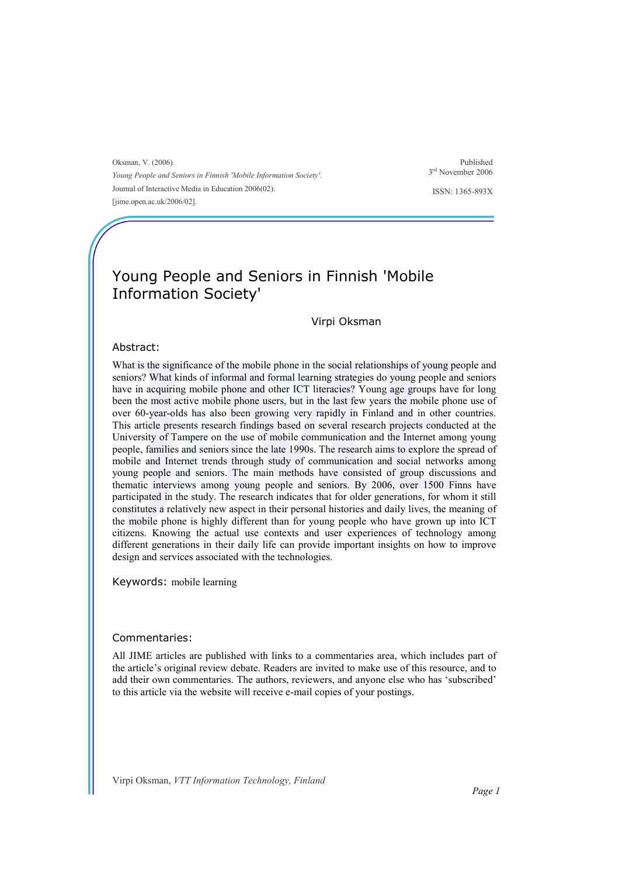Oksman, V. (2006). Young People and Seniors in Finnish 'Mobile Information Society'. Journal of Interactive Media in Education 2006(02). [jime.open.ac.uk/2006/02].

Published 3 rd November 2006

ISSN: 1365-893X

# Young People and Seniors in Finnish 'Mobile Information Society'

#### Virpi Oksman

#### Abstract:

What is the significance of the mobile phone in the social relationships of young people and seniors? What kinds of informal and formal learning strategies do young people and seniors have in acquiring mobile phone and other ICT literacies? Young age groups have for long been the most active mobile phone users, but in the last few years the mobile phone use of over 60-year-olds has also been growing very rapidly in Finland and in other countries. This article presents research findings based on several research projects conducted at the University of Tampere on the use of mobile communication and the Internet among young people, families and seniors since the late 1990s. The research aims to explore the spread of mobile and Internet trends through study of communication and social networks among young people and seniors. The main methods have consisted of group discussions and thematic interviews among young people and seniors. By 2006, over 1500 Finns have participated in the study. The research indicates that for older generations, for whom it still constitutes a relatively new aspect in their personal histories and daily lives, the meaning of the mobile phone is highly different than for young people who have grown up into ICT citizens. Knowing the actual use contexts and user experiences of technology among different generations in their daily life can provide important insights on how to improve design and services associated with the technologies.

Keywords: mobile learning

#### Commentaries:

All JIME articles are published with links to a commentaries area, which includes part of the article's original review debate. Readers are invited to make use of this resource, and to add their own commentaries. The authors, reviewers, and anyone else who has 'subscribed' to this article via the website will receive e-mail copies of your postings.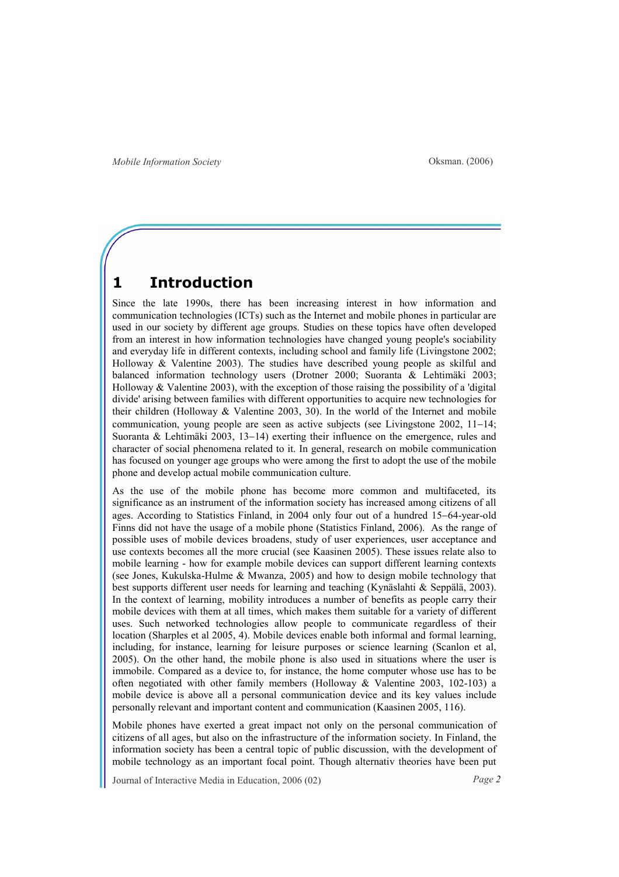### 1 Introduction

Since the late 1990s, there has been increasing interest in how information and communication technologies (ICTs) such as the Internet and mobile phones in particular are used in our society by different age groups. Studies on these topics have often developed from an interest in how information technologies have changed young people's sociability and everyday life in different contexts, including school and family life (Livingstone 2002; Holloway & Valentine 2003). The studies have described young people as skilful and balanced information technology users (Drotner 2000; Suoranta & Lehtimäki 2003; Holloway & Valentine 2003), with the exception of those raising the possibility of a 'digital divide' arising between families with different opportunities to acquire new technologies for their children (Holloway & Valentine 2003, 30). In the world of the Internet and mobile communication, young people are seen as active subjects (see Livingstone 2002, 11−14; Suoranta & Lehtimäki 2003, 13−14) exerting their influence on the emergence, rules and character of social phenomena related to it. In general, research on mobile communication has focused on younger age groups who were among the first to adopt the use of the mobile phone and develop actual mobile communication culture.

As the use of the mobile phone has become more common and multifaceted, its significance as an instrument of the information society has increased among citizens of all ages. According to Statistics Finland, in 2004 only four out of a hundred 15−64-year-old Finns did not have the usage of a mobile phone (Statistics Finland, 2006). As the range of possible uses of mobile devices broadens, study of user experiences, user acceptance and use contexts becomes all the more crucial (see Kaasinen 2005). These issues relate also to mobile learning - how for example mobile devices can support different learning contexts (see Jones, Kukulska-Hulme & Mwanza, 2005) and how to design mobile technology that best supports different user needs for learning and teaching (Kynäslahti & Seppälä, 2003). In the context of learning, mobility introduces a number of benefits as people carry their mobile devices with them at all times, which makes them suitable for a variety of different uses. Such networked technologies allow people to communicate regardless of their location (Sharples et al 2005, 4). Mobile devices enable both informal and formal learning, including, for instance, learning for leisure purposes or science learning (Scanlon et al, 2005). On the other hand, the mobile phone is also used in situations where the user is immobile. Compared as a device to, for instance, the home computer whose use has to be often negotiated with other family members (Holloway & Valentine 2003, 102-103) a mobile device is above all a personal communication device and its key values include personally relevant and important content and communication (Kaasinen 2005, 116).

Mobile phones have exerted a great impact not only on the personal communication of citizens of all ages, but also on the infrastructure of the information society. In Finland, the information society has been a central topic of public discussion, with the development of mobile technology as an important focal point. Though alternativ theories have been put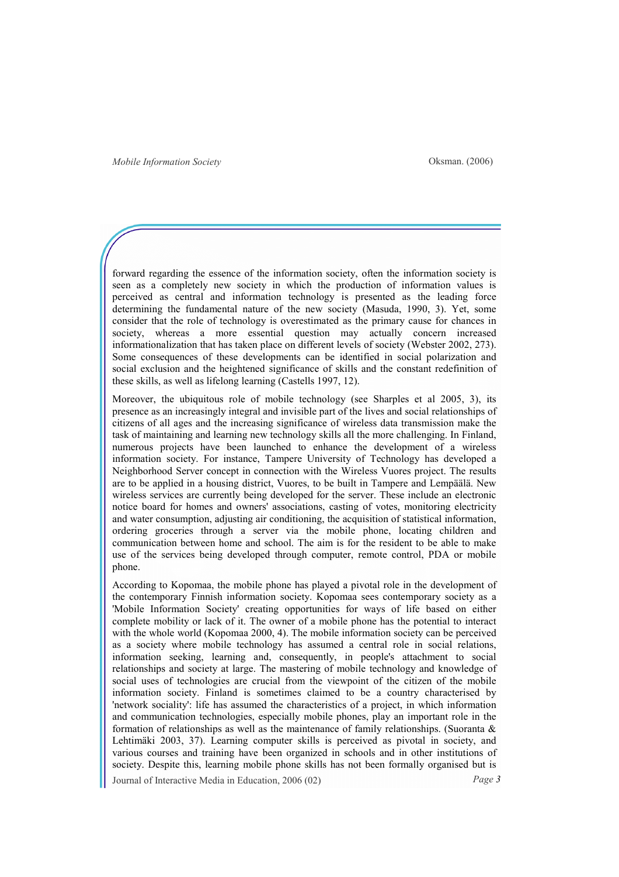forward regarding the essence of the information society, often the information society is seen as a completely new society in which the production of information values is perceived as central and information technology is presented as the leading force determining the fundamental nature of the new society (Masuda, 1990, 3). Yet, some consider that the role of technology is overestimated as the primary cause for chances in society, whereas a more essential question may actually concern increased informationalization that has taken place on different levels of society (Webster 2002, 273). Some consequences of these developments can be identified in social polarization and social exclusion and the heightened significance of skills and the constant redefinition of these skills, as well as lifelong learning (Castells 1997, 12).

Moreover, the ubiquitous role of mobile technology (see Sharples et al 2005, 3), its presence as an increasingly integral and invisible part of the lives and social relationships of citizens of all ages and the increasing significance of wireless data transmission make the task of maintaining and learning new technology skills all the more challenging. In Finland, numerous projects have been launched to enhance the development of a wireless information society. For instance, Tampere University of Technology has developed a Neighborhood Server concept in connection with the Wireless Vuores project. The results are to be applied in a housing district, Vuores, to be built in Tampere and Lempäälä. New wireless services are currently being developed for the server. These include an electronic notice board for homes and owners' associations, casting of votes, monitoring electricity and water consumption, adjusting air conditioning, the acquisition of statistical information, ordering groceries through a server via the mobile phone, locating children and communication between home and school. The aim is for the resident to be able to make use of the services being developed through computer, remote control, PDA or mobile phone.

Journal of Interactive Media in Education, 2006 (02) Page 3 According to Kopomaa, the mobile phone has played a pivotal role in the development of the contemporary Finnish information society. Kopomaa sees contemporary society as a 'Mobile Information Society' creating opportunities for ways of life based on either complete mobility or lack of it. The owner of a mobile phone has the potential to interact with the whole world (Kopomaa 2000, 4). The mobile information society can be perceived as a society where mobile technology has assumed a central role in social relations, information seeking, learning and, consequently, in people's attachment to social relationships and society at large. The mastering of mobile technology and knowledge of social uses of technologies are crucial from the viewpoint of the citizen of the mobile information society. Finland is sometimes claimed to be a country characterised by 'network sociality': life has assumed the characteristics of a project, in which information and communication technologies, especially mobile phones, play an important role in the formation of relationships as well as the maintenance of family relationships. (Suoranta & Lehtimäki 2003, 37). Learning computer skills is perceived as pivotal in society, and various courses and training have been organized in schools and in other institutions of society. Despite this, learning mobile phone skills has not been formally organised but is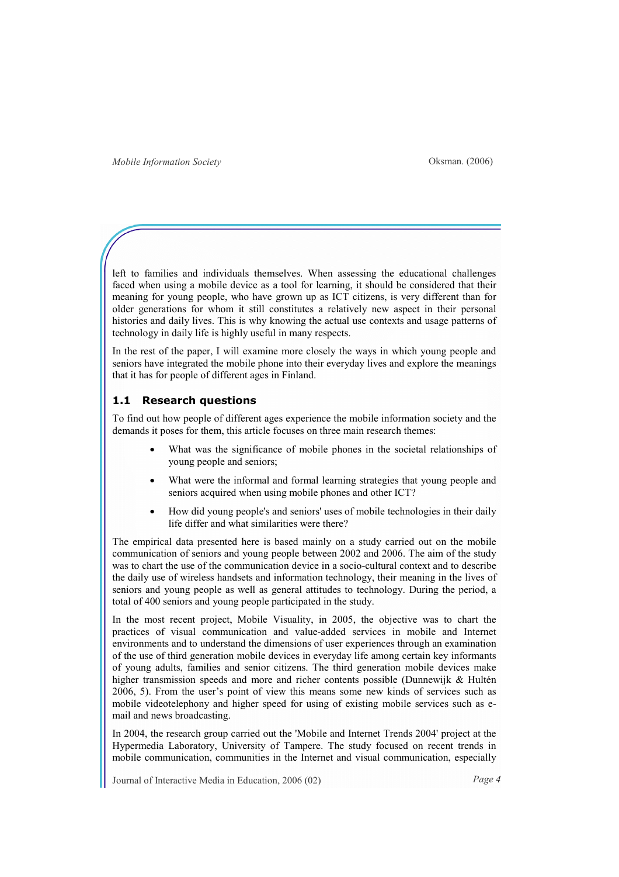left to families and individuals themselves. When assessing the educational challenges faced when using a mobile device as a tool for learning, it should be considered that their meaning for young people, who have grown up as ICT citizens, is very different than for older generations for whom it still constitutes a relatively new aspect in their personal histories and daily lives. This is why knowing the actual use contexts and usage patterns of technology in daily life is highly useful in many respects.

In the rest of the paper, I will examine more closely the ways in which young people and seniors have integrated the mobile phone into their everyday lives and explore the meanings that it has for people of different ages in Finland.

### 1.1 Research questions

To find out how people of different ages experience the mobile information society and the demands it poses for them, this article focuses on three main research themes:

- What was the significance of mobile phones in the societal relationships of young people and seniors;
- What were the informal and formal learning strategies that young people and seniors acquired when using mobile phones and other ICT?
- How did young people's and seniors' uses of mobile technologies in their daily life differ and what similarities were there?

The empirical data presented here is based mainly on a study carried out on the mobile communication of seniors and young people between 2002 and 2006. The aim of the study was to chart the use of the communication device in a socio-cultural context and to describe the daily use of wireless handsets and information technology, their meaning in the lives of seniors and young people as well as general attitudes to technology. During the period, a total of 400 seniors and young people participated in the study.

In the most recent project, Mobile Visuality, in 2005, the objective was to chart the practices of visual communication and value-added services in mobile and Internet environments and to understand the dimensions of user experiences through an examination of the use of third generation mobile devices in everyday life among certain key informants of young adults, families and senior citizens. The third generation mobile devices make higher transmission speeds and more and richer contents possible (Dunnewijk & Hultén 2006, 5). From the user's point of view this means some new kinds of services such as mobile videotelephony and higher speed for using of existing mobile services such as email and news broadcasting.

In 2004, the research group carried out the 'Mobile and Internet Trends 2004' project at the Hypermedia Laboratory, University of Tampere. The study focused on recent trends in mobile communication, communities in the Internet and visual communication, especially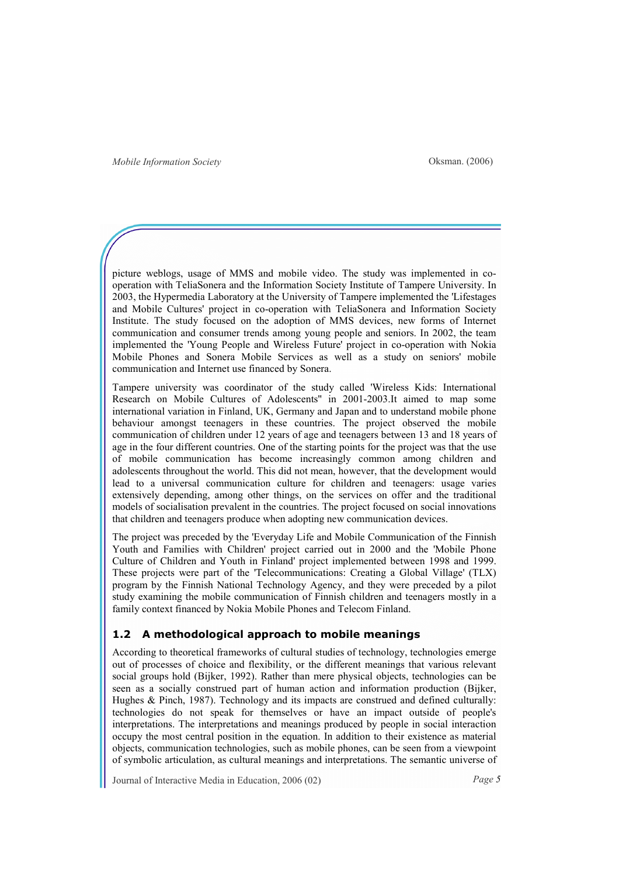picture weblogs, usage of MMS and mobile video. The study was implemented in cooperation with TeliaSonera and the Information Society Institute of Tampere University. In 2003, the Hypermedia Laboratory at the University of Tampere implemented the 'Lifestages and Mobile Cultures' project in co-operation with TeliaSonera and Information Society Institute. The study focused on the adoption of MMS devices, new forms of Internet communication and consumer trends among young people and seniors. In 2002, the team implemented the 'Young People and Wireless Future' project in co-operation with Nokia Mobile Phones and Sonera Mobile Services as well as a study on seniors' mobile communication and Internet use financed by Sonera.

Tampere university was coordinator of the study called 'Wireless Kids: International Research on Mobile Cultures of Adolescents'' in 2001-2003.It aimed to map some international variation in Finland, UK, Germany and Japan and to understand mobile phone behaviour amongst teenagers in these countries. The project observed the mobile communication of children under 12 years of age and teenagers between 13 and 18 years of age in the four different countries. One of the starting points for the project was that the use of mobile communication has become increasingly common among children and adolescents throughout the world. This did not mean, however, that the development would lead to a universal communication culture for children and teenagers: usage varies extensively depending, among other things, on the services on offer and the traditional models of socialisation prevalent in the countries. The project focused on social innovations that children and teenagers produce when adopting new communication devices.

The project was preceded by the 'Everyday Life and Mobile Communication of the Finnish Youth and Families with Children' project carried out in 2000 and the 'Mobile Phone Culture of Children and Youth in Finland' project implemented between 1998 and 1999. These projects were part of the 'Telecommunications: Creating a Global Village' (TLX) program by the Finnish National Technology Agency, and they were preceded by a pilot study examining the mobile communication of Finnish children and teenagers mostly in a family context financed by Nokia Mobile Phones and Telecom Finland.

#### 1.2 A methodological approach to mobile meanings

According to theoretical frameworks of cultural studies of technology, technologies emerge out of processes of choice and flexibility, or the different meanings that various relevant social groups hold (Bijker, 1992). Rather than mere physical objects, technologies can be seen as a socially construed part of human action and information production (Bijker, Hughes & Pinch, 1987). Technology and its impacts are construed and defined culturally: technologies do not speak for themselves or have an impact outside of people's interpretations. The interpretations and meanings produced by people in social interaction occupy the most central position in the equation. In addition to their existence as material objects, communication technologies, such as mobile phones, can be seen from a viewpoint of symbolic articulation, as cultural meanings and interpretations. The semantic universe of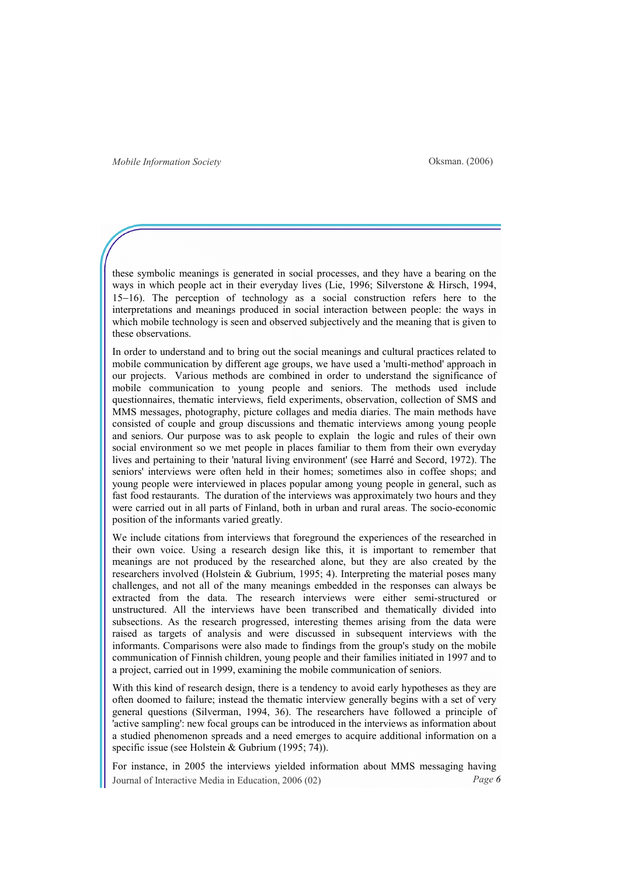these symbolic meanings is generated in social processes, and they have a bearing on the ways in which people act in their everyday lives (Lie, 1996; Silverstone & Hirsch, 1994, 15−16). The perception of technology as a social construction refers here to the interpretations and meanings produced in social interaction between people: the ways in which mobile technology is seen and observed subjectively and the meaning that is given to these observations.

In order to understand and to bring out the social meanings and cultural practices related to mobile communication by different age groups, we have used a 'multi-method' approach in our projects. Various methods are combined in order to understand the significance of mobile communication to young people and seniors. The methods used include questionnaires, thematic interviews, field experiments, observation, collection of SMS and MMS messages, photography, picture collages and media diaries. The main methods have consisted of couple and group discussions and thematic interviews among young people and seniors. Our purpose was to ask people to explain the logic and rules of their own social environment so we met people in places familiar to them from their own everyday lives and pertaining to their 'natural living environment' (see Harré and Secord, 1972). The seniors' interviews were often held in their homes; sometimes also in coffee shops; and young people were interviewed in places popular among young people in general, such as fast food restaurants. The duration of the interviews was approximately two hours and they were carried out in all parts of Finland, both in urban and rural areas. The socio-economic position of the informants varied greatly.

We include citations from interviews that foreground the experiences of the researched in their own voice. Using a research design like this, it is important to remember that meanings are not produced by the researched alone, but they are also created by the researchers involved (Holstein & Gubrium, 1995; 4). Interpreting the material poses many challenges, and not all of the many meanings embedded in the responses can always be extracted from the data. The research interviews were either semi-structured or unstructured. All the interviews have been transcribed and thematically divided into subsections. As the research progressed, interesting themes arising from the data were raised as targets of analysis and were discussed in subsequent interviews with the informants. Comparisons were also made to findings from the group's study on the mobile communication of Finnish children, young people and their families initiated in 1997 and to a project, carried out in 1999, examining the mobile communication of seniors.

With this kind of research design, there is a tendency to avoid early hypotheses as they are often doomed to failure; instead the thematic interview generally begins with a set of very general questions (Silverman, 1994, 36). The researchers have followed a principle of 'active sampling': new focal groups can be introduced in the interviews as information about a studied phenomenon spreads and a need emerges to acquire additional information on a specific issue (see Holstein & Gubrium (1995; 74)).

Journal of Interactive Media in Education, 2006 (02) Page 6 For instance, in 2005 the interviews yielded information about MMS messaging having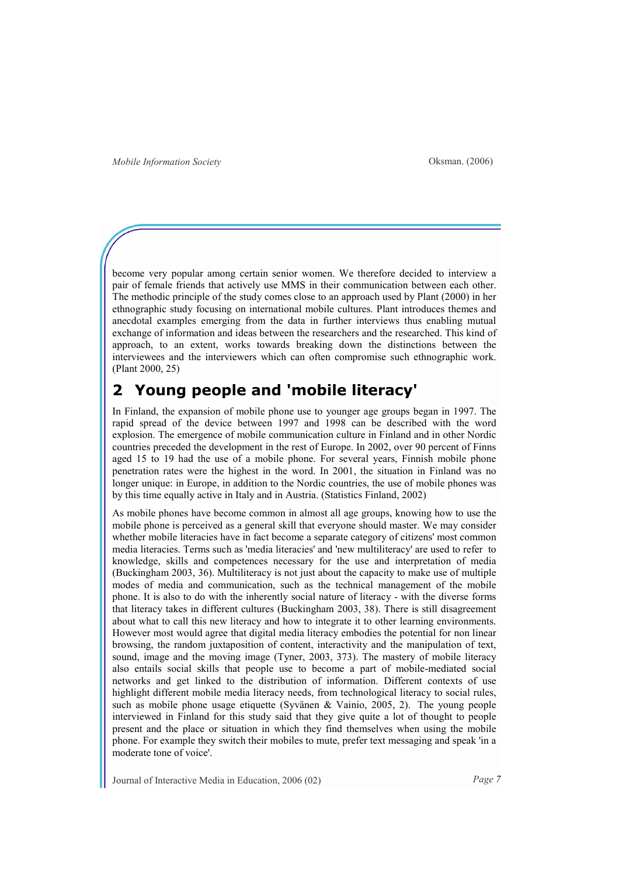become very popular among certain senior women. We therefore decided to interview a pair of female friends that actively use MMS in their communication between each other. The methodic principle of the study comes close to an approach used by Plant (2000) in her ethnographic study focusing on international mobile cultures. Plant introduces themes and anecdotal examples emerging from the data in further interviews thus enabling mutual exchange of information and ideas between the researchers and the researched. This kind of approach, to an extent, works towards breaking down the distinctions between the interviewees and the interviewers which can often compromise such ethnographic work. (Plant 2000, 25)

### Young people and 'mobile literacy'

In Finland, the expansion of mobile phone use to younger age groups began in 1997. The rapid spread of the device between 1997 and 1998 can be described with the word explosion. The emergence of mobile communication culture in Finland and in other Nordic countries preceded the development in the rest of Europe. In 2002, over 90 percent of Finns aged 15 to 19 had the use of a mobile phone. For several years, Finnish mobile phone penetration rates were the highest in the word. In 2001, the situation in Finland was no longer unique: in Europe, in addition to the Nordic countries, the use of mobile phones was by this time equally active in Italy and in Austria. (Statistics Finland, 2002)

As mobile phones have become common in almost all age groups, knowing how to use the mobile phone is perceived as a general skill that everyone should master. We may consider whether mobile literacies have in fact become a separate category of citizens' most common media literacies. Terms such as 'media literacies' and 'new multiliteracy' are used to refer to knowledge, skills and competences necessary for the use and interpretation of media (Buckingham 2003, 36). Multiliteracy is not just about the capacity to make use of multiple modes of media and communication, such as the technical management of the mobile phone. It is also to do with the inherently social nature of literacy - with the diverse forms that literacy takes in different cultures (Buckingham 2003, 38). There is still disagreement about what to call this new literacy and how to integrate it to other learning environments. However most would agree that digital media literacy embodies the potential for non linear browsing, the random juxtaposition of content, interactivity and the manipulation of text, sound, image and the moving image (Tyner, 2003, 373). The mastery of mobile literacy also entails social skills that people use to become a part of mobile-mediated social networks and get linked to the distribution of information. Different contexts of use highlight different mobile media literacy needs, from technological literacy to social rules, such as mobile phone usage etiquette (Syvänen & Vainio, 2005, 2). The young people interviewed in Finland for this study said that they give quite a lot of thought to people present and the place or situation in which they find themselves when using the mobile phone. For example they switch their mobiles to mute, prefer text messaging and speak 'in a moderate tone of voice'.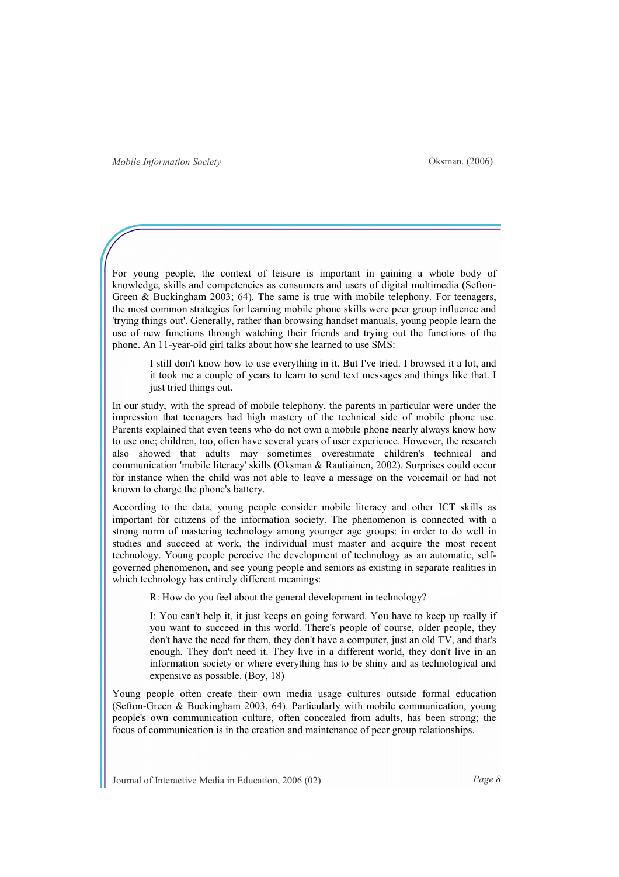For young people, the context of leisure is important in gaining a whole body of knowledge, skills and competencies as consumers and users of digital multimedia (Sefton-Green & Buckingham 2003; 64). The same is true with mobile telephony. For teenagers, the most common strategies for learning mobile phone skills were peer group influence and 'trying things out'. Generally, rather than browsing handset manuals, young people learn the use of new functions through watching their friends and trying out the functions of the phone. An 11-year-old girl talks about how she learned to use SMS:

I still don't know how to use everything in it. But I've tried. I browsed it a lot, and it took me a couple of years to learn to send text messages and things like that. I just tried things out.

In our study, with the spread of mobile telephony, the parents in particular were under the impression that teenagers had high mastery of the technical side of mobile phone use. Parents explained that even teens who do not own a mobile phone nearly always know how to use one; children, too, often have several years of user experience. However, the research also showed that adults may sometimes overestimate children's technical and communication 'mobile literacy' skills (Oksman & Rautiainen, 2002). Surprises could occur for instance when the child was not able to leave a message on the voicemail or had not known to charge the phone's battery.

According to the data, young people consider mobile literacy and other ICT skills as important for citizens of the information society. The phenomenon is connected with a strong norm of mastering technology among younger age groups: in order to do well in studies and succeed at work, the individual must master and acquire the most recent technology. Young people perceive the development of technology as an automatic, selfgoverned phenomenon, and see young people and seniors as existing in separate realities in which technology has entirely different meanings:

R: How do you feel about the general development in technology?

I: You can't help it, it just keeps on going forward. You have to keep up really if you want to succeed in this world. There's people of course, older people, they don't have the need for them, they don't have a computer, just an old TV, and that's enough. They don't need it. They live in a different world, they don't live in an information society or where everything has to be shiny and as technological and expensive as possible. (Boy, 18)

Young people often create their own media usage cultures outside formal education (Sefton-Green & Buckingham 2003, 64). Particularly with mobile communication, young people's own communication culture, often concealed from adults, has been strong; the focus of communication is in the creation and maintenance of peer group relationships.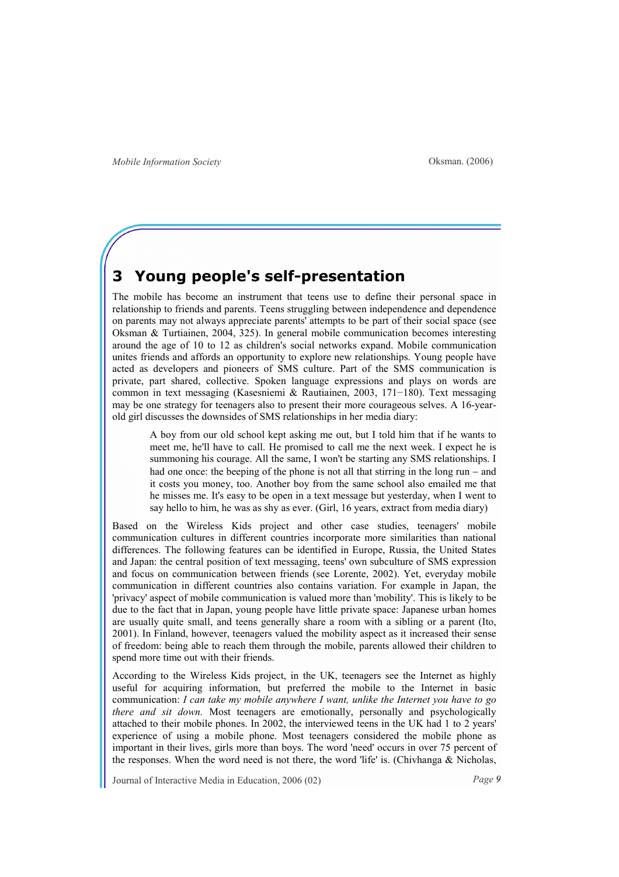### 3 Young people's self-presentation

The mobile has become an instrument that teens use to define their personal space in relationship to friends and parents. Teens struggling between independence and dependence on parents may not always appreciate parents' attempts to be part of their social space (see Oksman & Turtiainen, 2004, 325). In general mobile communication becomes interesting around the age of 10 to 12 as children's social networks expand. Mobile communication unites friends and affords an opportunity to explore new relationships. Young people have acted as developers and pioneers of SMS culture. Part of the SMS communication is private, part shared, collective. Spoken language expressions and plays on words are common in text messaging (Kasesniemi & Rautiainen, 2003, 171−180). Text messaging may be one strategy for teenagers also to present their more courageous selves. A 16-yearold girl discusses the downsides of SMS relationships in her media diary:

A boy from our old school kept asking me out, but I told him that if he wants to meet me, he'll have to call. He promised to call me the next week. I expect he is summoning his courage. All the same, I won't be starting any SMS relationships. I had one once: the beeping of the phone is not all that stirring in the long run − and it costs you money, too. Another boy from the same school also emailed me that he misses me. It's easy to be open in a text message but yesterday, when I went to say hello to him, he was as shy as ever. (Girl, 16 years, extract from media diary)

Based on the Wireless Kids project and other case studies, teenagers' mobile communication cultures in different countries incorporate more similarities than national differences. The following features can be identified in Europe, Russia, the United States and Japan: the central position of text messaging, teens' own subculture of SMS expression and focus on communication between friends (see Lorente, 2002). Yet, everyday mobile communication in different countries also contains variation. For example in Japan, the 'privacy' aspect of mobile communication is valued more than 'mobility'. This is likely to be due to the fact that in Japan, young people have little private space: Japanese urban homes are usually quite small, and teens generally share a room with a sibling or a parent (Ito, 2001). In Finland, however, teenagers valued the mobility aspect as it increased their sense of freedom: being able to reach them through the mobile, parents allowed their children to spend more time out with their friends.

According to the Wireless Kids project, in the UK, teenagers see the Internet as highly useful for acquiring information, but preferred the mobile to the Internet in basic communication: I can take my mobile anywhere I want, unlike the Internet you have to go there and sit down. Most teenagers are emotionally, personally and psychologically attached to their mobile phones. In 2002, the interviewed teens in the UK had 1 to 2 years' experience of using a mobile phone. Most teenagers considered the mobile phone as important in their lives, girls more than boys. The word 'need' occurs in over 75 percent of the responses. When the word need is not there, the word 'life' is. (Chivhanga & Nicholas,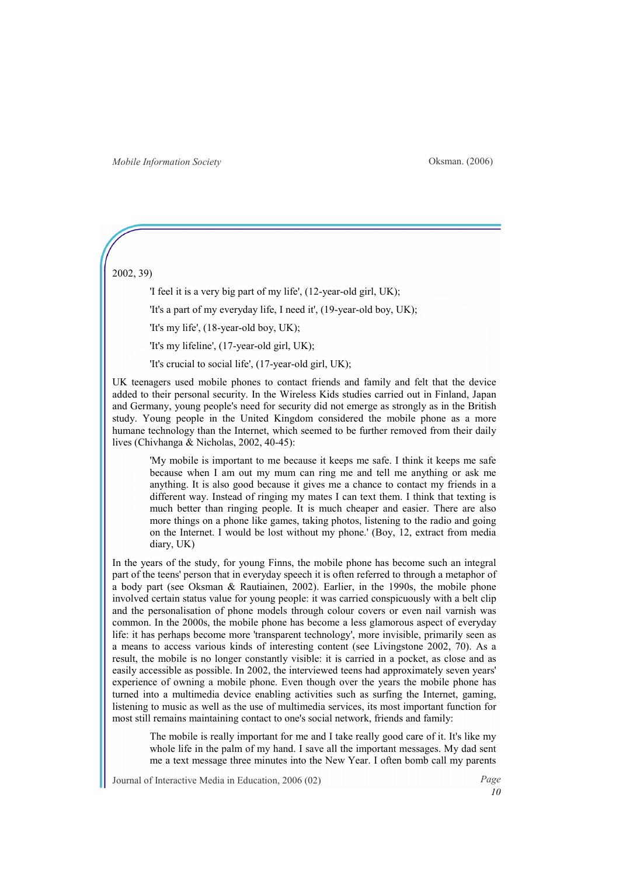### 2002, 39)

'I feel it is a very big part of my life', (12-year-old girl, UK);

'It's a part of my everyday life, I need it', (19-year-old boy, UK);

'It's my life', (18-year-old boy, UK);

'It's my lifeline', (17-year-old girl, UK);

'It's crucial to social life', (17-year-old girl, UK);

UK teenagers used mobile phones to contact friends and family and felt that the device added to their personal security. In the Wireless Kids studies carried out in Finland, Japan and Germany, young people's need for security did not emerge as strongly as in the British study. Young people in the United Kingdom considered the mobile phone as a more humane technology than the Internet, which seemed to be further removed from their daily lives (Chivhanga & Nicholas, 2002, 40-45):

'My mobile is important to me because it keeps me safe. I think it keeps me safe because when I am out my mum can ring me and tell me anything or ask me anything. It is also good because it gives me a chance to contact my friends in a different way. Instead of ringing my mates I can text them. I think that texting is much better than ringing people. It is much cheaper and easier. There are also more things on a phone like games, taking photos, listening to the radio and going on the Internet. I would be lost without my phone.' (Boy, 12, extract from media diary, UK)

In the years of the study, for young Finns, the mobile phone has become such an integral part of the teens' person that in everyday speech it is often referred to through a metaphor of a body part (see Oksman & Rautiainen, 2002). Earlier, in the 1990s, the mobile phone involved certain status value for young people: it was carried conspicuously with a belt clip and the personalisation of phone models through colour covers or even nail varnish was common. In the 2000s, the mobile phone has become a less glamorous aspect of everyday life: it has perhaps become more 'transparent technology', more invisible, primarily seen as a means to access various kinds of interesting content (see Livingstone 2002, 70). As a result, the mobile is no longer constantly visible: it is carried in a pocket, as close and as easily accessible as possible. In 2002, the interviewed teens had approximately seven years' experience of owning a mobile phone. Even though over the years the mobile phone has turned into a multimedia device enabling activities such as surfing the Internet, gaming, listening to music as well as the use of multimedia services, its most important function for most still remains maintaining contact to one's social network, friends and family:

The mobile is really important for me and I take really good care of it. It's like my whole life in the palm of my hand. I save all the important messages. My dad sent me a text message three minutes into the New Year. I often bomb call my parents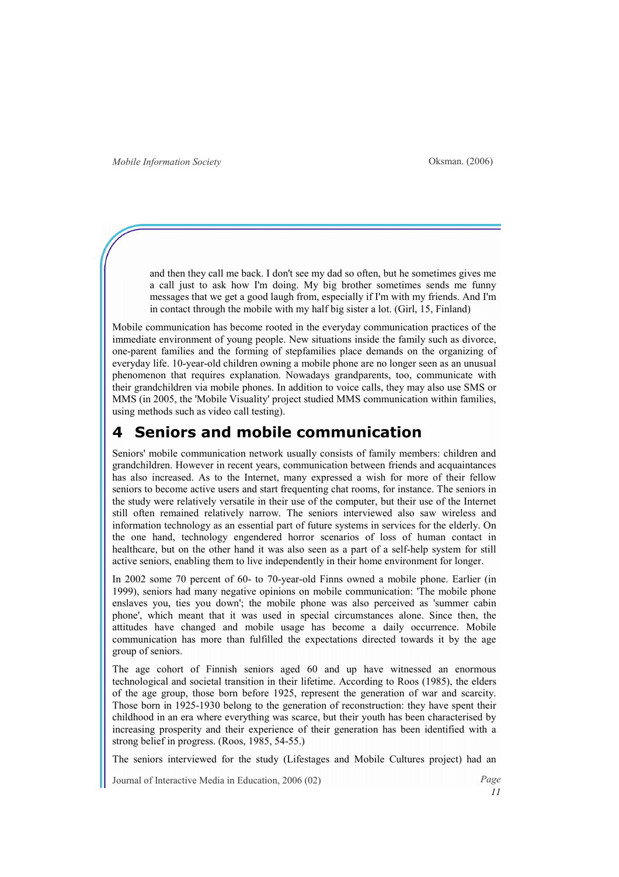and then they call me back. I don't see my dad so often, but he sometimes gives me a call just to ask how I'm doing. My big brother sometimes sends me funny messages that we get a good laugh from, especially if I'm with my friends. And I'm in contact through the mobile with my half big sister a lot. (Girl, 15, Finland)

Mobile communication has become rooted in the everyday communication practices of the immediate environment of young people. New situations inside the family such as divorce, one-parent families and the forming of stepfamilies place demands on the organizing of everyday life. 10-year-old children owning a mobile phone are no longer seen as an unusual phenomenon that requires explanation. Nowadays grandparents, too, communicate with their grandchildren via mobile phones. In addition to voice calls, they may also use SMS or MMS (in 2005, the 'Mobile Visuality' project studied MMS communication within families, using methods such as video call testing).

### Seniors and mobile communication

Seniors' mobile communication network usually consists of family members: children and grandchildren. However in recent years, communication between friends and acquaintances has also increased. As to the Internet, many expressed a wish for more of their fellow seniors to become active users and start frequenting chat rooms, for instance. The seniors in the study were relatively versatile in their use of the computer, but their use of the Internet still often remained relatively narrow. The seniors interviewed also saw wireless and information technology as an essential part of future systems in services for the elderly. On the one hand, technology engendered horror scenarios of loss of human contact in healthcare, but on the other hand it was also seen as a part of a self-help system for still active seniors, enabling them to live independently in their home environment for longer.

In 2002 some 70 percent of 60- to 70-year-old Finns owned a mobile phone. Earlier (in 1999), seniors had many negative opinions on mobile communication: 'The mobile phone enslaves you, ties you down'; the mobile phone was also perceived as 'summer cabin phone', which meant that it was used in special circumstances alone. Since then, the attitudes have changed and mobile usage has become a daily occurrence. Mobile communication has more than fulfilled the expectations directed towards it by the age group of seniors.

The age cohort of Finnish seniors aged 60 and up have witnessed an enormous technological and societal transition in their lifetime. According to Roos (1985), the elders of the age group, those born before 1925, represent the generation of war and scarcity. Those born in 1925-1930 belong to the generation of reconstruction: they have spent their childhood in an era where everything was scarce, but their youth has been characterised by increasing prosperity and their experience of their generation has been identified with a strong belief in progress. (Roos, 1985, 54-55.)

The seniors interviewed for the study (Lifestages and Mobile Cultures project) had an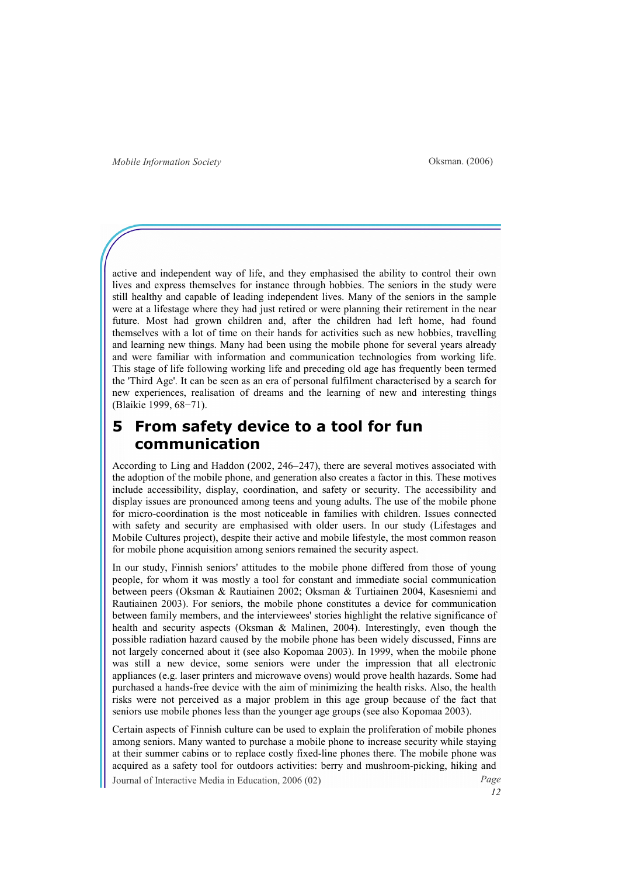active and independent way of life, and they emphasised the ability to control their own lives and express themselves for instance through hobbies. The seniors in the study were still healthy and capable of leading independent lives. Many of the seniors in the sample were at a lifestage where they had just retired or were planning their retirement in the near future. Most had grown children and, after the children had left home, had found themselves with a lot of time on their hands for activities such as new hobbies, travelling and learning new things. Many had been using the mobile phone for several years already and were familiar with information and communication technologies from working life. This stage of life following working life and preceding old age has frequently been termed the 'Third Age'. It can be seen as an era of personal fulfilment characterised by a search for new experiences, realisation of dreams and the learning of new and interesting things (Blaikie 1999, 68−71).

## 5 From safety device to a tool for fun communication

According to Ling and Haddon (2002, 246−247), there are several motives associated with the adoption of the mobile phone, and generation also creates a factor in this. These motives include accessibility, display, coordination, and safety or security. The accessibility and display issues are pronounced among teens and young adults. The use of the mobile phone for micro-coordination is the most noticeable in families with children. Issues connected with safety and security are emphasised with older users. In our study (Lifestages and Mobile Cultures project), despite their active and mobile lifestyle, the most common reason for mobile phone acquisition among seniors remained the security aspect.

In our study, Finnish seniors' attitudes to the mobile phone differed from those of young people, for whom it was mostly a tool for constant and immediate social communication between peers (Oksman & Rautiainen 2002; Oksman & Turtiainen 2004, Kasesniemi and Rautiainen 2003). For seniors, the mobile phone constitutes a device for communication between family members, and the interviewees' stories highlight the relative significance of health and security aspects (Oksman & Malinen, 2004). Interestingly, even though the possible radiation hazard caused by the mobile phone has been widely discussed, Finns are not largely concerned about it (see also Kopomaa 2003). In 1999, when the mobile phone was still a new device, some seniors were under the impression that all electronic appliances (e.g. laser printers and microwave ovens) would prove health hazards. Some had purchased a hands-free device with the aim of minimizing the health risks. Also, the health risks were not perceived as a major problem in this age group because of the fact that seniors use mobile phones less than the younger age groups (see also Kopomaa 2003).

Journal of Interactive Media in Education, 2006 (02) Page Certain aspects of Finnish culture can be used to explain the proliferation of mobile phones among seniors. Many wanted to purchase a mobile phone to increase security while staying at their summer cabins or to replace costly fixed-line phones there. The mobile phone was acquired as a safety tool for outdoors activities: berry and mushroom-picking, hiking and

12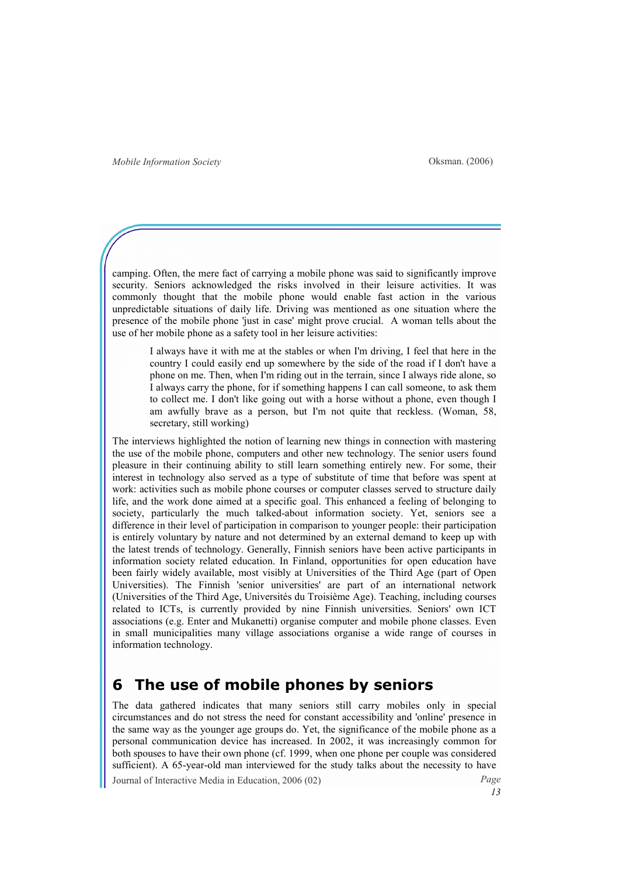camping. Often, the mere fact of carrying a mobile phone was said to significantly improve security. Seniors acknowledged the risks involved in their leisure activities. It was commonly thought that the mobile phone would enable fast action in the various unpredictable situations of daily life. Driving was mentioned as one situation where the presence of the mobile phone 'just in case' might prove crucial. A woman tells about the use of her mobile phone as a safety tool in her leisure activities:

I always have it with me at the stables or when I'm driving, I feel that here in the country I could easily end up somewhere by the side of the road if I don't have a phone on me. Then, when I'm riding out in the terrain, since I always ride alone, so I always carry the phone, for if something happens I can call someone, to ask them to collect me. I don't like going out with a horse without a phone, even though I am awfully brave as a person, but I'm not quite that reckless. (Woman, 58, secretary, still working)

The interviews highlighted the notion of learning new things in connection with mastering the use of the mobile phone, computers and other new technology. The senior users found pleasure in their continuing ability to still learn something entirely new. For some, their interest in technology also served as a type of substitute of time that before was spent at work: activities such as mobile phone courses or computer classes served to structure daily life, and the work done aimed at a specific goal. This enhanced a feeling of belonging to society, particularly the much talked-about information society. Yet, seniors see a difference in their level of participation in comparison to younger people: their participation is entirely voluntary by nature and not determined by an external demand to keep up with the latest trends of technology. Generally, Finnish seniors have been active participants in information society related education. In Finland, opportunities for open education have been fairly widely available, most visibly at Universities of the Third Age (part of Open Universities). The Finnish 'senior universities' are part of an international network (Universities of the Third Age, Universités du Troisième Age). Teaching, including courses related to ICTs, is currently provided by nine Finnish universities. Seniors' own ICT associations (e.g. Enter and Mukanetti) organise computer and mobile phone classes. Even in small municipalities many village associations organise a wide range of courses in information technology.

### 6 The use of mobile phones by seniors

The data gathered indicates that many seniors still carry mobiles only in special circumstances and do not stress the need for constant accessibility and 'online' presence in the same way as the younger age groups do. Yet, the significance of the mobile phone as a personal communication device has increased. In 2002, it was increasingly common for both spouses to have their own phone (cf. 1999, when one phone per couple was considered sufficient). A 65-year-old man interviewed for the study talks about the necessity to have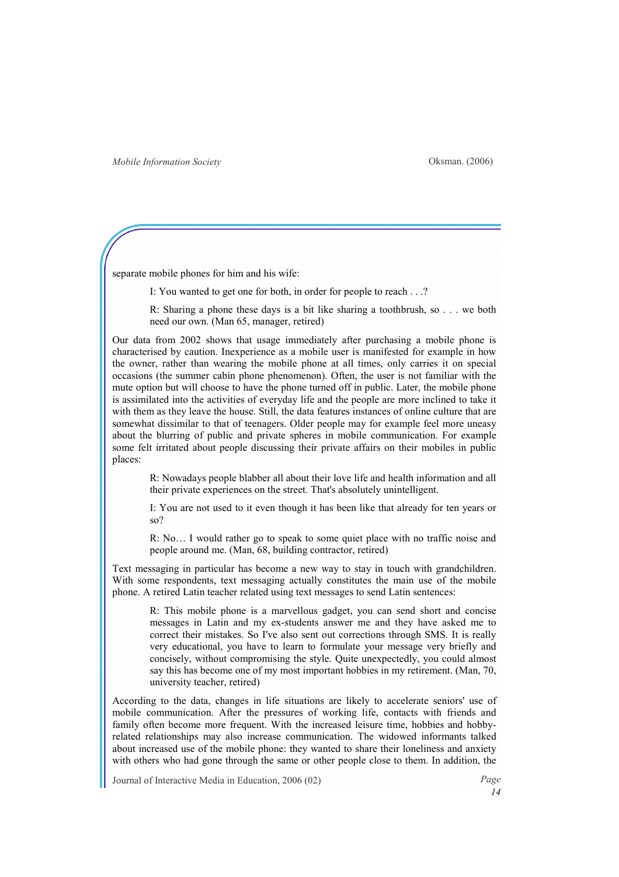separate mobile phones for him and his wife:

I: You wanted to get one for both, in order for people to reach . . .?

R: Sharing a phone these days is a bit like sharing a toothbrush, so . . . we both need our own. (Man 65, manager, retired)

Our data from 2002 shows that usage immediately after purchasing a mobile phone is characterised by caution. Inexperience as a mobile user is manifested for example in how the owner, rather than wearing the mobile phone at all times, only carries it on special occasions (the summer cabin phone phenomenon). Often, the user is not familiar with the mute option but will choose to have the phone turned off in public. Later, the mobile phone is assimilated into the activities of everyday life and the people are more inclined to take it with them as they leave the house. Still, the data features instances of online culture that are somewhat dissimilar to that of teenagers. Older people may for example feel more uneasy about the blurring of public and private spheres in mobile communication. For example some felt irritated about people discussing their private affairs on their mobiles in public places:

R: Nowadays people blabber all about their love life and health information and all their private experiences on the street. That's absolutely unintelligent.

I: You are not used to it even though it has been like that already for ten years or so?

R: No… I would rather go to speak to some quiet place with no traffic noise and people around me. (Man, 68, building contractor, retired)

Text messaging in particular has become a new way to stay in touch with grandchildren. With some respondents, text messaging actually constitutes the main use of the mobile phone. A retired Latin teacher related using text messages to send Latin sentences:

R: This mobile phone is a marvellous gadget, you can send short and concise messages in Latin and my ex-students answer me and they have asked me to correct their mistakes. So I've also sent out corrections through SMS. It is really very educational, you have to learn to formulate your message very briefly and concisely, without compromising the style. Quite unexpectedly, you could almost say this has become one of my most important hobbies in my retirement. (Man, 70, university teacher, retired)

According to the data, changes in life situations are likely to accelerate seniors' use of mobile communication. After the pressures of working life, contacts with friends and family often become more frequent. With the increased leisure time, hobbies and hobbyrelated relationships may also increase communication. The widowed informants talked about increased use of the mobile phone: they wanted to share their loneliness and anxiety with others who had gone through the same or other people close to them. In addition, the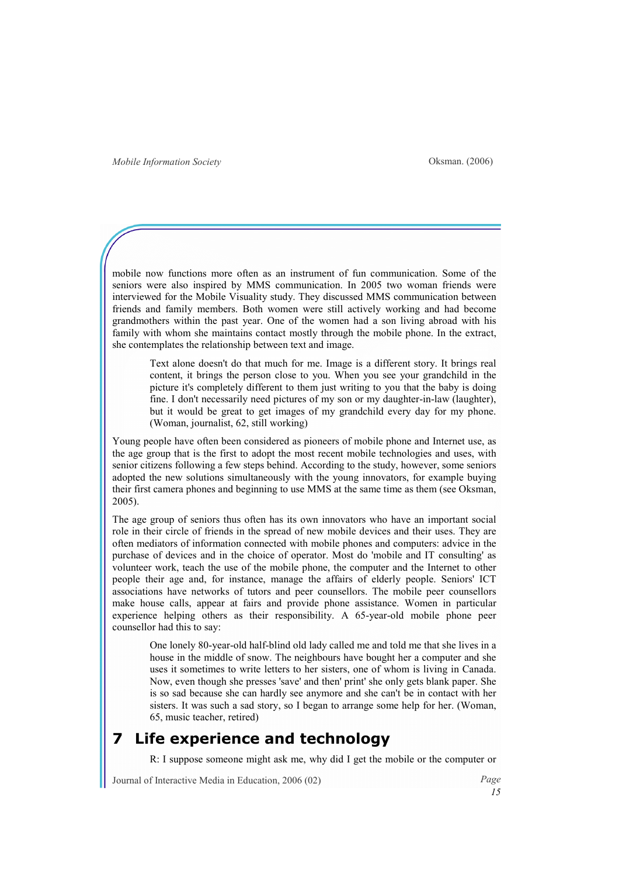mobile now functions more often as an instrument of fun communication. Some of the seniors were also inspired by MMS communication. In 2005 two woman friends were interviewed for the Mobile Visuality study. They discussed MMS communication between friends and family members. Both women were still actively working and had become grandmothers within the past year. One of the women had a son living abroad with his family with whom she maintains contact mostly through the mobile phone. In the extract, she contemplates the relationship between text and image.

Text alone doesn't do that much for me. Image is a different story. It brings real content, it brings the person close to you. When you see your grandchild in the picture it's completely different to them just writing to you that the baby is doing fine. I don't necessarily need pictures of my son or my daughter-in-law (laughter), but it would be great to get images of my grandchild every day for my phone. (Woman, journalist, 62, still working)

Young people have often been considered as pioneers of mobile phone and Internet use, as the age group that is the first to adopt the most recent mobile technologies and uses, with senior citizens following a few steps behind. According to the study, however, some seniors adopted the new solutions simultaneously with the young innovators, for example buying their first camera phones and beginning to use MMS at the same time as them (see Oksman, 2005).

The age group of seniors thus often has its own innovators who have an important social role in their circle of friends in the spread of new mobile devices and their uses. They are often mediators of information connected with mobile phones and computers: advice in the purchase of devices and in the choice of operator. Most do 'mobile and IT consulting' as volunteer work, teach the use of the mobile phone, the computer and the Internet to other people their age and, for instance, manage the affairs of elderly people. Seniors' ICT associations have networks of tutors and peer counsellors. The mobile peer counsellors make house calls, appear at fairs and provide phone assistance. Women in particular experience helping others as their responsibility. A 65-year-old mobile phone peer counsellor had this to say:

One lonely 80-year-old half-blind old lady called me and told me that she lives in a house in the middle of snow. The neighbours have bought her a computer and she uses it sometimes to write letters to her sisters, one of whom is living in Canada. Now, even though she presses 'save' and then' print' she only gets blank paper. She is so sad because she can hardly see anymore and she can't be in contact with her sisters. It was such a sad story, so I began to arrange some help for her. (Woman, 65, music teacher, retired)

## Life experience and technology

R: I suppose someone might ask me, why did I get the mobile or the computer or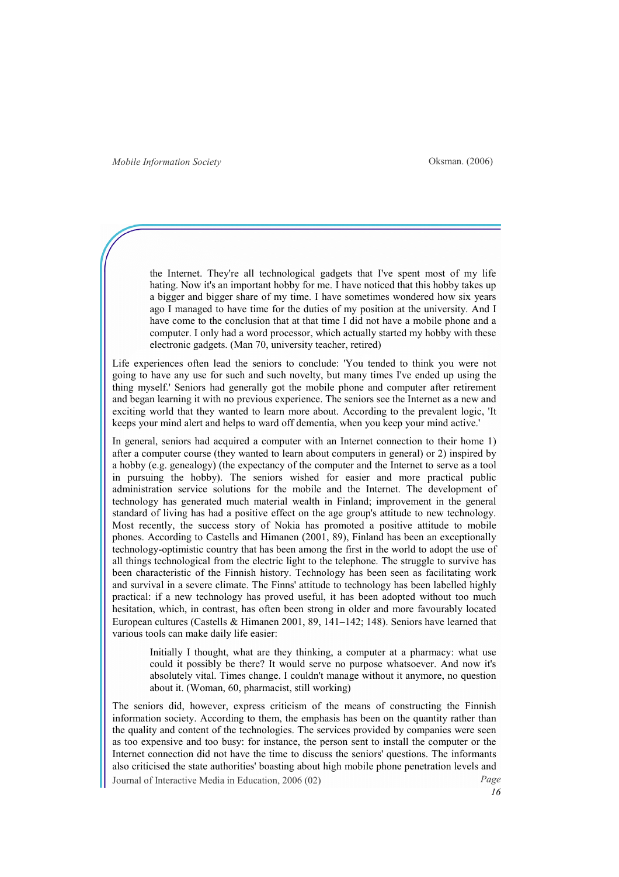the Internet. They're all technological gadgets that I've spent most of my life hating. Now it's an important hobby for me. I have noticed that this hobby takes up a bigger and bigger share of my time. I have sometimes wondered how six years ago I managed to have time for the duties of my position at the university. And I have come to the conclusion that at that time I did not have a mobile phone and a computer. I only had a word processor, which actually started my hobby with these electronic gadgets. (Man 70, university teacher, retired)

Life experiences often lead the seniors to conclude: 'You tended to think you were not going to have any use for such and such novelty, but many times I've ended up using the thing myself.' Seniors had generally got the mobile phone and computer after retirement and began learning it with no previous experience. The seniors see the Internet as a new and exciting world that they wanted to learn more about. According to the prevalent logic, 'It keeps your mind alert and helps to ward off dementia, when you keep your mind active.'

In general, seniors had acquired a computer with an Internet connection to their home 1) after a computer course (they wanted to learn about computers in general) or 2) inspired by a hobby (e.g. genealogy) (the expectancy of the computer and the Internet to serve as a tool in pursuing the hobby). The seniors wished for easier and more practical public administration service solutions for the mobile and the Internet. The development of technology has generated much material wealth in Finland; improvement in the general standard of living has had a positive effect on the age group's attitude to new technology. Most recently, the success story of Nokia has promoted a positive attitude to mobile phones. According to Castells and Himanen (2001, 89), Finland has been an exceptionally technology-optimistic country that has been among the first in the world to adopt the use of all things technological from the electric light to the telephone. The struggle to survive has been characteristic of the Finnish history. Technology has been seen as facilitating work and survival in a severe climate. The Finns' attitude to technology has been labelled highly practical: if a new technology has proved useful, it has been adopted without too much hesitation, which, in contrast, has often been strong in older and more favourably located European cultures (Castells & Himanen 2001, 89, 141−142; 148). Seniors have learned that various tools can make daily life easier:

Initially I thought, what are they thinking, a computer at a pharmacy: what use could it possibly be there? It would serve no purpose whatsoever. And now it's absolutely vital. Times change. I couldn't manage without it anymore, no question about it. (Woman, 60, pharmacist, still working)

Journal of Interactive Media in Education, 2006 (02) Page The seniors did, however, express criticism of the means of constructing the Finnish information society. According to them, the emphasis has been on the quantity rather than the quality and content of the technologies. The services provided by companies were seen as too expensive and too busy: for instance, the person sent to install the computer or the Internet connection did not have the time to discuss the seniors' questions. The informants also criticised the state authorities' boasting about high mobile phone penetration levels and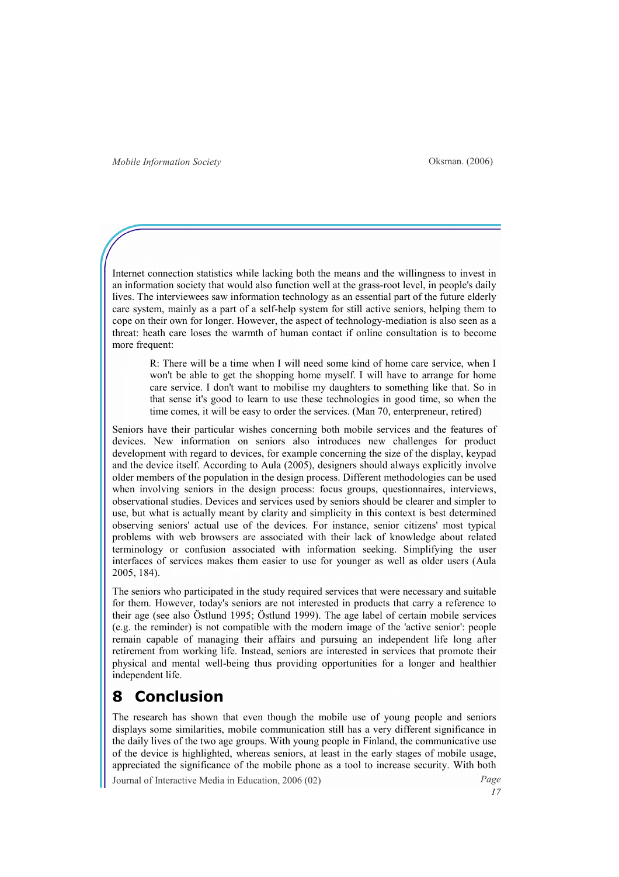Internet connection statistics while lacking both the means and the willingness to invest in an information society that would also function well at the grass-root level, in people's daily lives. The interviewees saw information technology as an essential part of the future elderly care system, mainly as a part of a self-help system for still active seniors, helping them to cope on their own for longer. However, the aspect of technology-mediation is also seen as a threat: heath care loses the warmth of human contact if online consultation is to become more frequent:

R: There will be a time when I will need some kind of home care service, when I won't be able to get the shopping home myself. I will have to arrange for home care service. I don't want to mobilise my daughters to something like that. So in that sense it's good to learn to use these technologies in good time, so when the time comes, it will be easy to order the services. (Man 70, enterpreneur, retired)

Seniors have their particular wishes concerning both mobile services and the features of devices. New information on seniors also introduces new challenges for product development with regard to devices, for example concerning the size of the display, keypad and the device itself. According to Aula (2005), designers should always explicitly involve older members of the population in the design process. Different methodologies can be used when involving seniors in the design process: focus groups, questionnaires, interviews, observational studies. Devices and services used by seniors should be clearer and simpler to use, but what is actually meant by clarity and simplicity in this context is best determined observing seniors' actual use of the devices. For instance, senior citizens' most typical problems with web browsers are associated with their lack of knowledge about related terminology or confusion associated with information seeking. Simplifying the user interfaces of services makes them easier to use for younger as well as older users (Aula 2005, 184).

The seniors who participated in the study required services that were necessary and suitable for them. However, today's seniors are not interested in products that carry a reference to their age (see also Östlund 1995; Östlund 1999). The age label of certain mobile services (e.g. the reminder) is not compatible with the modern image of the 'active senior': people remain capable of managing their affairs and pursuing an independent life long after retirement from working life. Instead, seniors are interested in services that promote their physical and mental well-being thus providing opportunities for a longer and healthier independent life.

# **Conclusion**

The research has shown that even though the mobile use of young people and seniors displays some similarities, mobile communication still has a very different significance in the daily lives of the two age groups. With young people in Finland, the communicative use of the device is highlighted, whereas seniors, at least in the early stages of mobile usage, appreciated the significance of the mobile phone as a tool to increase security. With both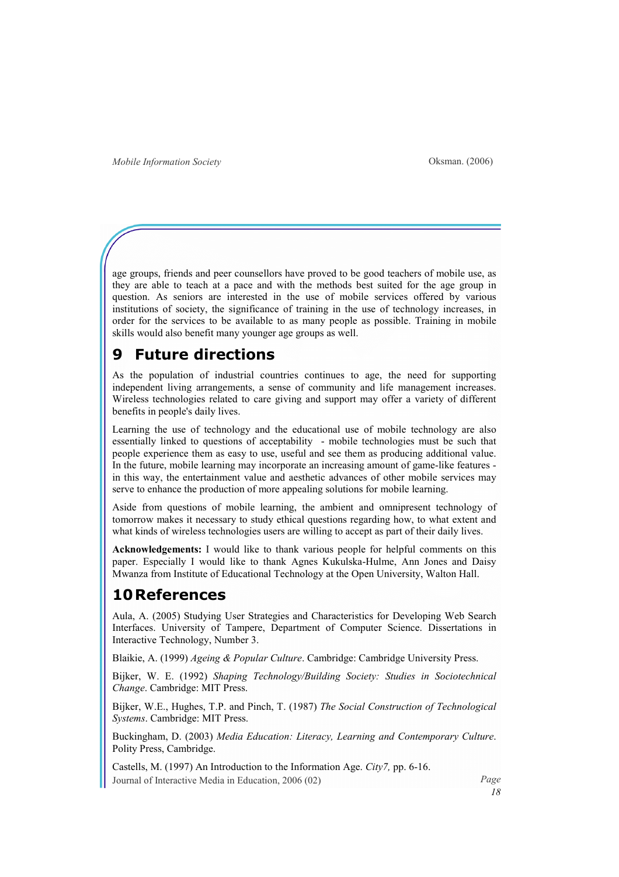age groups, friends and peer counsellors have proved to be good teachers of mobile use, as they are able to teach at a pace and with the methods best suited for the age group in question. As seniors are interested in the use of mobile services offered by various institutions of society, the significance of training in the use of technology increases, in order for the services to be available to as many people as possible. Training in mobile skills would also benefit many younger age groups as well.

### **Future directions**

As the population of industrial countries continues to age, the need for supporting independent living arrangements, a sense of community and life management increases. Wireless technologies related to care giving and support may offer a variety of different benefits in people's daily lives.

Learning the use of technology and the educational use of mobile technology are also essentially linked to questions of acceptability - mobile technologies must be such that people experience them as easy to use, useful and see them as producing additional value. In the future, mobile learning may incorporate an increasing amount of game-like features in this way, the entertainment value and aesthetic advances of other mobile services may serve to enhance the production of more appealing solutions for mobile learning.

Aside from questions of mobile learning, the ambient and omnipresent technology of tomorrow makes it necessary to study ethical questions regarding how, to what extent and what kinds of wireless technologies users are willing to accept as part of their daily lives.

Acknowledgements: I would like to thank various people for helpful comments on this paper. Especially I would like to thank Agnes Kukulska-Hulme, Ann Jones and Daisy Mwanza from Institute of Educational Technology at the Open University, Walton Hall.

### 10References

Aula, A. (2005) Studying User Strategies and Characteristics for Developing Web Search Interfaces. University of Tampere, Department of Computer Science. Dissertations in Interactive Technology, Number 3.

Blaikie, A. (1999) Ageing & Popular Culture. Cambridge: Cambridge University Press.

Bijker, W. E. (1992) Shaping Technology/Building Society: Studies in Sociotechnical Change. Cambridge: MIT Press.

Bijker, W.E., Hughes, T.P. and Pinch, T. (1987) The Social Construction of Technological Systems. Cambridge: MIT Press.

Buckingham, D. (2003) Media Education: Literacy, Learning and Contemporary Culture. Polity Press, Cambridge.

Journal of Interactive Media in Education, 2006 (02) Page Castells, M. (1997) An Introduction to the Information Age. City7, pp. 6-16.

18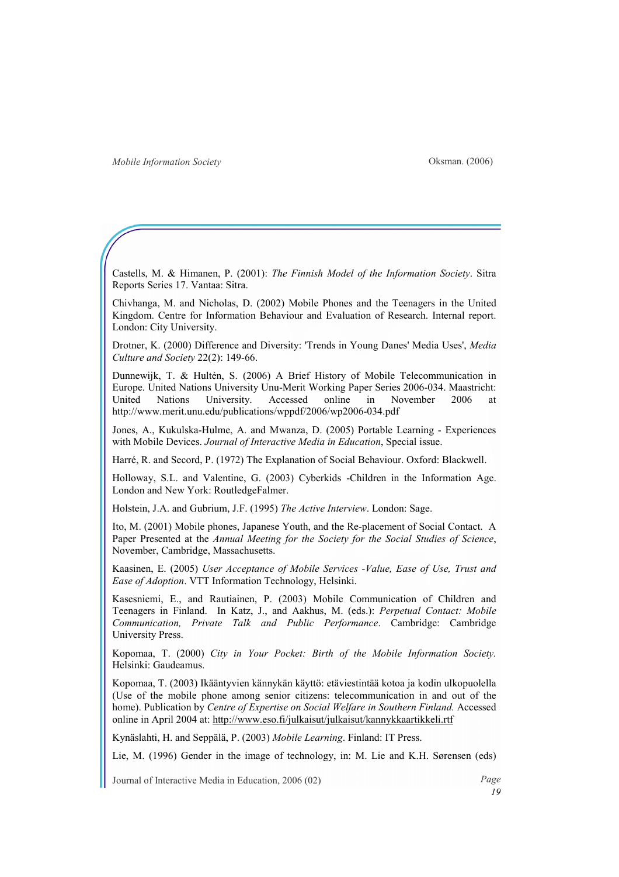Oksman. (2006)

Castells, M. & Himanen, P. (2001): The Finnish Model of the Information Society. Sitra Reports Series 17. Vantaa: Sitra.

Chivhanga, M. and Nicholas, D. (2002) Mobile Phones and the Teenagers in the United Kingdom. Centre for Information Behaviour and Evaluation of Research. Internal report. London: City University.

Drotner, K. (2000) Difference and Diversity: 'Trends in Young Danes' Media Uses', Media Culture and Society 22(2): 149-66.

Dunnewijk, T. & Hultén, S. (2006) A Brief History of Mobile Telecommunication in Europe. United Nations University Unu-Merit Working Paper Series 2006-034. Maastricht: United Nations University. Accessed online in November 2006 at http://www.merit.unu.edu/publications/wppdf/2006/wp2006-034.pdf

Jones, A., Kukulska-Hulme, A. and Mwanza, D. (2005) Portable Learning - Experiences with Mobile Devices. Journal of Interactive Media in Education, Special issue.

Harré, R. and Secord, P. (1972) The Explanation of Social Behaviour. Oxford: Blackwell.

Holloway, S.L. and Valentine, G. (2003) Cyberkids -Children in the Information Age. London and New York: RoutledgeFalmer.

Holstein, J.A. and Gubrium, J.F. (1995) The Active Interview. London: Sage.

Ito, M. (2001) Mobile phones, Japanese Youth, and the Re-placement of Social Contact. A Paper Presented at the Annual Meeting for the Society for the Social Studies of Science, November, Cambridge, Massachusetts.

Kaasinen, E. (2005) User Acceptance of Mobile Services -Value, Ease of Use, Trust and Ease of Adoption. VTT Information Technology, Helsinki.

Kasesniemi, E., and Rautiainen, P. (2003) Mobile Communication of Children and Teenagers in Finland. In Katz, J., and Aakhus, M. (eds.): Perpetual Contact: Mobile Communication, Private Talk and Public Performance. Cambridge: Cambridge University Press.

Kopomaa, T. (2000) City in Your Pocket: Birth of the Mobile Information Society. Helsinki: Gaudeamus.

Kopomaa, T. (2003) Ikääntyvien kännykän käyttö: etäviestintää kotoa ja kodin ulkopuolella (Use of the mobile phone among senior citizens: telecommunication in and out of the home). Publication by Centre of Expertise on Social Welfare in Southern Finland. Accessed online in April 2004 at: http://www.eso.fi/julkaisut/julkaisut/kannykkaartikkeli.rtf

Kynäslahti, H. and Seppälä, P. (2003) Mobile Learning. Finland: IT Press.

Lie, M. (1996) Gender in the image of technology, in: M. Lie and K.H. Sørensen (eds)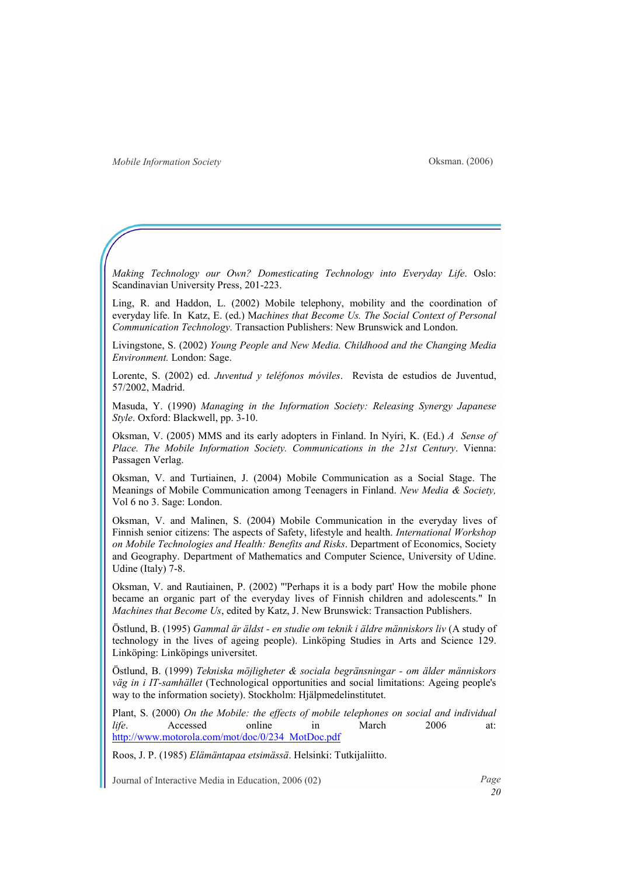Oksman. (2006)

Making Technology our Own? Domesticating Technology into Everyday Life. Oslo: Scandinavian University Press, 201-223.

Ling, R. and Haddon, L. (2002) Mobile telephony, mobility and the coordination of everyday life. In Katz, E. (ed.) Machines that Become Us. The Social Context of Personal Communication Technology. Transaction Publishers: New Brunswick and London.

Livingstone, S. (2002) Young People and New Media. Childhood and the Changing Media Environment. London: Sage.

Lorente, S. (2002) ed. Juventud y teléfonos móviles. Revista de estudios de Juventud, 57/2002, Madrid.

Masuda, Y. (1990) Managing in the Information Society: Releasing Synergy Japanese Style. Oxford: Blackwell, pp. 3-10.

Oksman, V. (2005) MMS and its early adopters in Finland. In Nyíri, K. (Ed.)  $\Lambda$  Sense of Place. The Mobile Information Society. Communications in the 21st Century. Vienna: Passagen Verlag.

Oksman, V. and Turtiainen, J. (2004) Mobile Communication as a Social Stage. The Meanings of Mobile Communication among Teenagers in Finland. New Media & Society, Vol 6 no 3. Sage: London.

Oksman, V. and Malinen, S. (2004) Mobile Communication in the everyday lives of Finnish senior citizens: The aspects of Safety, lifestyle and health. International Workshop on Mobile Technologies and Health: Benefits and Risks. Department of Economics, Society and Geography. Department of Mathematics and Computer Science, University of Udine. Udine (Italy) 7-8.

Oksman, V. and Rautiainen, P. (2002) "'Perhaps it is a body part' How the mobile phone became an organic part of the everyday lives of Finnish children and adolescents." In Machines that Become Us, edited by Katz, J. New Brunswick: Transaction Publishers.

Östlund, B. (1995) Gammal är äldst - en studie om teknik i äldre människors liv (A study of technology in the lives of ageing people). Linköping Studies in Arts and Science 129. Linköping: Linköpings universitet.

Östlund, B. (1999) Tekniska möjligheter & sociala begränsningar - om älder människors väg in i IT-samhället (Technological opportunities and social limitations: Ageing people's way to the information society). Stockholm: Hjälpmedelinstitutet.

Plant, S. (2000) On the Mobile: the effects of mobile telephones on social and individual life. Accessed online in March 2006 at: http://www.motorola.com/mot/doc/0/234\_MotDoc.pdf

Roos, J. P. (1985) Elämäntapaa etsimässä. Helsinki: Tutkijaliitto.